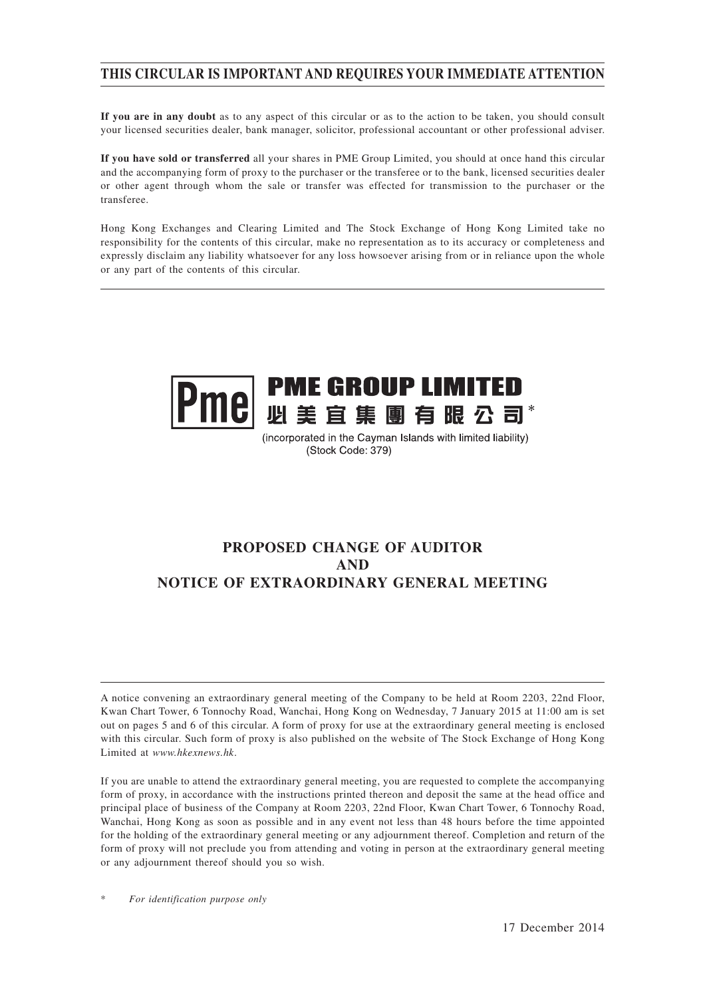## **THIS CIRCULAR IS IMPORTANT AND REQUIRES YOUR IMMEDIATE ATTENTION**

**If you are in any doubt** as to any aspect of this circular or as to the action to be taken, you should consult your licensed securities dealer, bank manager, solicitor, professional accountant or other professional adviser.

**If you have sold or transferred** all your shares in PME Group Limited, you should at once hand this circular and the accompanying form of proxy to the purchaser or the transferee or to the bank, licensed securities dealer or other agent through whom the sale or transfer was effected for transmission to the purchaser or the transferee.

Hong Kong Exchanges and Clearing Limited and The Stock Exchange of Hong Kong Limited take no responsibility for the contents of this circular, make no representation as to its accuracy or completeness and expressly disclaim any liability whatsoever for any loss howsoever arising from or in reliance upon the whole or any part of the contents of this circular.



(incorporated in the Cayman Islands with limited liability) (Stock Code: 379)

## **PROPOSED CHANGE OF AUDITOR AND NOTICE OF EXTRAORDINARY GENERAL MEETING**

A notice convening an extraordinary general meeting of the Company to be held at Room 2203, 22nd Floor, Kwan Chart Tower, 6 Tonnochy Road, Wanchai, Hong Kong on Wednesday, 7 January 2015 at 11:00 am is set out on pages 5 and 6 of this circular. A form of proxy for use at the extraordinary general meeting is enclosed with this circular. Such form of proxy is also published on the website of The Stock Exchange of Hong Kong Limited at *www.hkexnews.hk*.

If you are unable to attend the extraordinary general meeting, you are requested to complete the accompanying form of proxy, in accordance with the instructions printed thereon and deposit the same at the head office and principal place of business of the Company at Room 2203, 22nd Floor, Kwan Chart Tower, 6 Tonnochy Road, Wanchai, Hong Kong as soon as possible and in any event not less than 48 hours before the time appointed for the holding of the extraordinary general meeting or any adjournment thereof. Completion and return of the form of proxy will not preclude you from attending and voting in person at the extraordinary general meeting or any adjournment thereof should you so wish.

 $For$  *identification purpose only*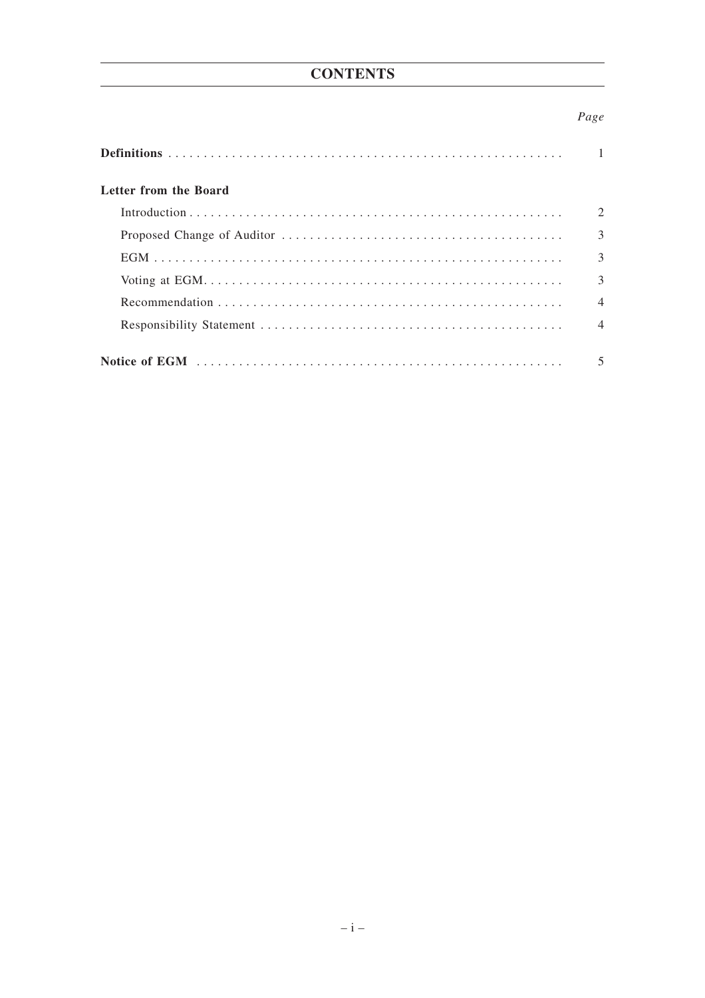## **CONTENTS**

### Page

| Letter from the Board |                          |
|-----------------------|--------------------------|
|                       | 2                        |
|                       | 3                        |
|                       | 3                        |
|                       | $\mathcal{R}$            |
|                       | $\overline{\mathcal{A}}$ |
|                       | $\Delta$                 |
|                       |                          |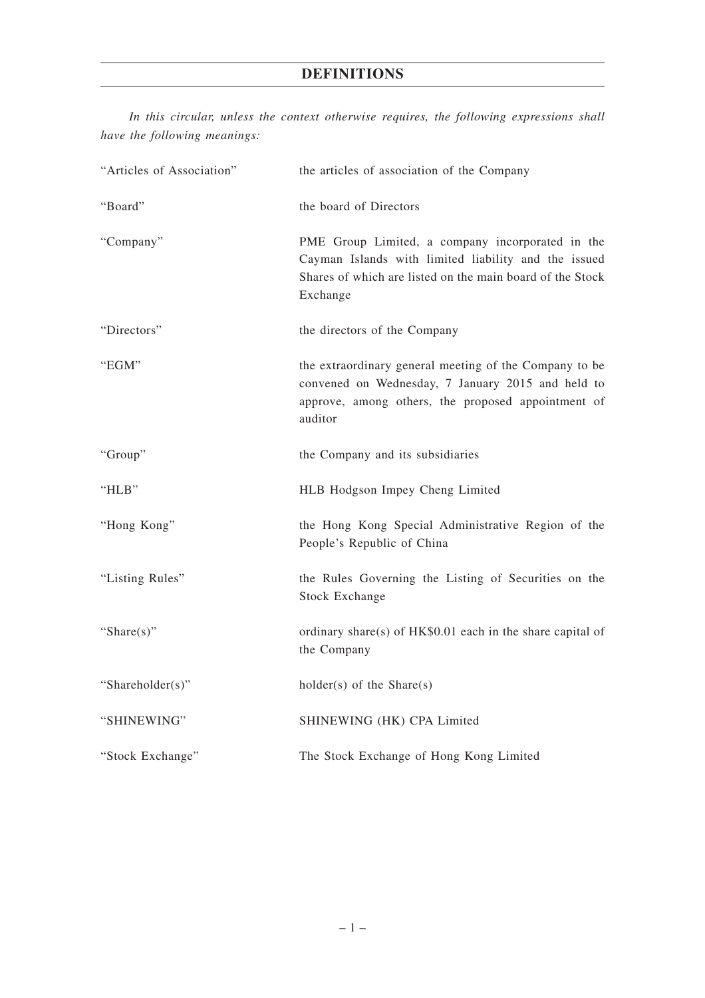## **DEFINITIONS**

*In this circular, unless the context otherwise requires, the following expressions shall have the following meanings:*

| "Articles of Association" | the articles of association of the Company                                                                                                                                        |
|---------------------------|-----------------------------------------------------------------------------------------------------------------------------------------------------------------------------------|
| "Board"                   | the board of Directors                                                                                                                                                            |
| "Company"                 | PME Group Limited, a company incorporated in the<br>Cayman Islands with limited liability and the issued<br>Shares of which are listed on the main board of the Stock<br>Exchange |
| "Directors"               | the directors of the Company                                                                                                                                                      |
| "EGM"                     | the extraordinary general meeting of the Company to be<br>convened on Wednesday, 7 January 2015 and held to<br>approve, among others, the proposed appointment of<br>auditor      |
| "Group"                   | the Company and its subsidiaries                                                                                                                                                  |
| "HLB"                     | HLB Hodgson Impey Cheng Limited                                                                                                                                                   |
| "Hong Kong"               | the Hong Kong Special Administrative Region of the<br>People's Republic of China                                                                                                  |
| "Listing Rules"           | the Rules Governing the Listing of Securities on the<br><b>Stock Exchange</b>                                                                                                     |
| "Share $(s)$ "            | ordinary share(s) of HK\$0.01 each in the share capital of<br>the Company                                                                                                         |
| "Shareholder(s)"          | $holder(s)$ of the Share $(s)$                                                                                                                                                    |
| "SHINEWING"               | SHINEWING (HK) CPA Limited                                                                                                                                                        |
| "Stock Exchange"          | The Stock Exchange of Hong Kong Limited                                                                                                                                           |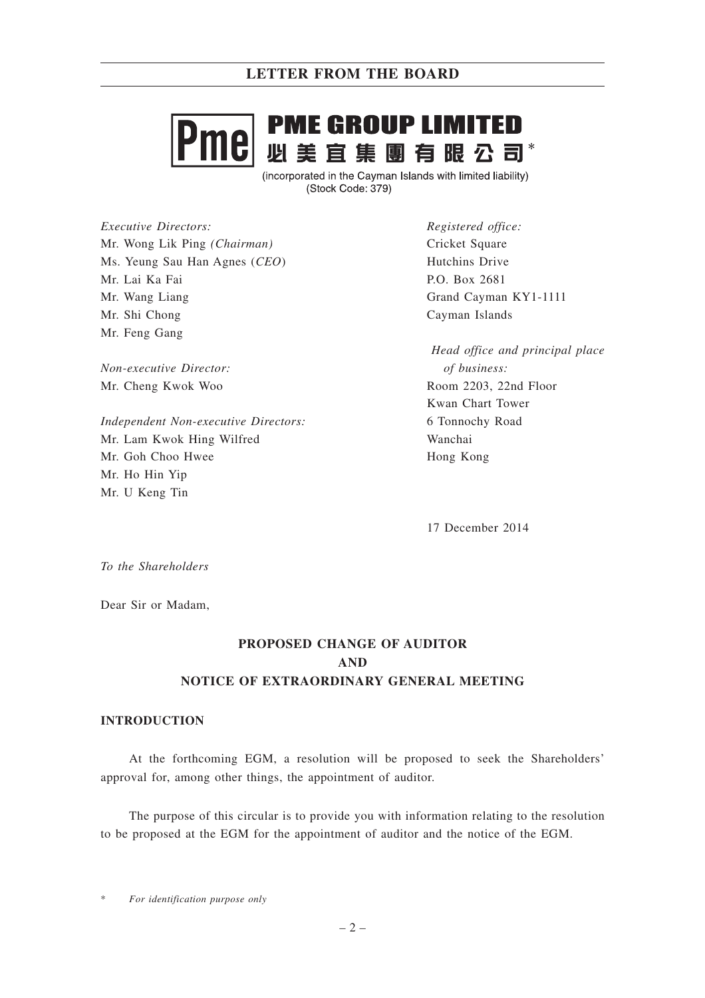## **PME GROUP LIMITED** 191 **必美宜集團有眼公司\***

(incorporated in the Cayman Islands with limited liability) (Stock Code: 379)

*Executive Directors:* Mr. Wong Lik Ping *(Chairman)* Ms. Yeung Sau Han Agnes (*CEO*) Mr. Lai Ka Fai Mr. Wang Liang Mr. Shi Chong Mr. Feng Gang

*Non-executive Director:* Mr. Cheng Kwok Woo

*Independent Non-executive Directors:* Mr. Lam Kwok Hing Wilfred Mr. Goh Choo Hwee Mr. Ho Hin Yip Mr. U Keng Tin

*Registered office:* Cricket Square Hutchins Drive P.O. Box 2681 Grand Cayman KY1-1111 Cayman Islands

*Head office and principal place of business:* Room 2203, 22nd Floor Kwan Chart Tower 6 Tonnochy Road Wanchai Hong Kong

17 December 2014

*To the Shareholders*

Dear Sir or Madam,

## **PROPOSED CHANGE OF AUDITOR AND NOTICE OF EXTRAORDINARY GENERAL MEETING**

#### **INTRODUCTION**

At the forthcoming EGM, a resolution will be proposed to seek the Shareholders' approval for, among other things, the appointment of auditor.

The purpose of this circular is to provide you with information relating to the resolution to be proposed at the EGM for the appointment of auditor and the notice of the EGM.

 $For$  *identification purpose only*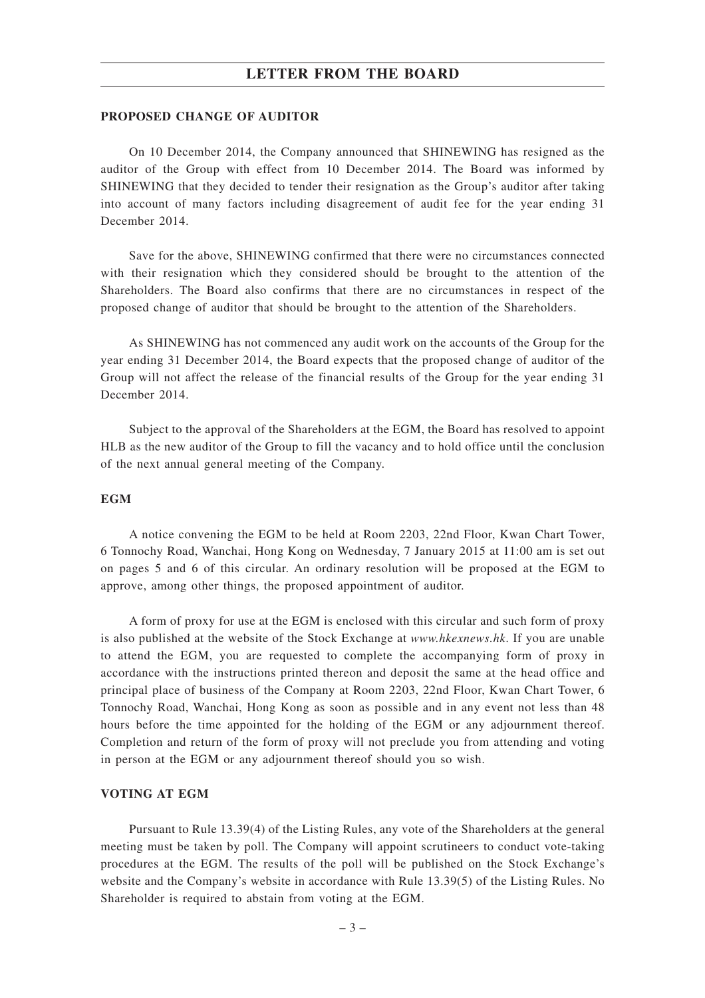### **LETTER FROM THE BOARD**

#### **PROPOSED CHANGE OF AUDITOR**

On 10 December 2014, the Company announced that SHINEWING has resigned as the auditor of the Group with effect from 10 December 2014. The Board was informed by SHINEWING that they decided to tender their resignation as the Group's auditor after taking into account of many factors including disagreement of audit fee for the year ending 31 December 2014.

Save for the above, SHINEWING confirmed that there were no circumstances connected with their resignation which they considered should be brought to the attention of the Shareholders. The Board also confirms that there are no circumstances in respect of the proposed change of auditor that should be brought to the attention of the Shareholders.

As SHINEWING has not commenced any audit work on the accounts of the Group for the year ending 31 December 2014, the Board expects that the proposed change of auditor of the Group will not affect the release of the financial results of the Group for the year ending 31 December 2014.

Subject to the approval of the Shareholders at the EGM, the Board has resolved to appoint HLB as the new auditor of the Group to fill the vacancy and to hold office until the conclusion of the next annual general meeting of the Company.

#### **EGM**

A notice convening the EGM to be held at Room 2203, 22nd Floor, Kwan Chart Tower, 6 Tonnochy Road, Wanchai, Hong Kong on Wednesday, 7 January 2015 at 11:00 am is set out on pages 5 and 6 of this circular. An ordinary resolution will be proposed at the EGM to approve, among other things, the proposed appointment of auditor.

A form of proxy for use at the EGM is enclosed with this circular and such form of proxy is also published at the website of the Stock Exchange at *www.hkexnews.hk*. If you are unable to attend the EGM, you are requested to complete the accompanying form of proxy in accordance with the instructions printed thereon and deposit the same at the head office and principal place of business of the Company at Room 2203, 22nd Floor, Kwan Chart Tower, 6 Tonnochy Road, Wanchai, Hong Kong as soon as possible and in any event not less than 48 hours before the time appointed for the holding of the EGM or any adjournment thereof. Completion and return of the form of proxy will not preclude you from attending and voting in person at the EGM or any adjournment thereof should you so wish.

#### **VOTING AT EGM**

Pursuant to Rule 13.39(4) of the Listing Rules, any vote of the Shareholders at the general meeting must be taken by poll. The Company will appoint scrutineers to conduct vote-taking procedures at the EGM. The results of the poll will be published on the Stock Exchange's website and the Company's website in accordance with Rule 13.39(5) of the Listing Rules. No Shareholder is required to abstain from voting at the EGM.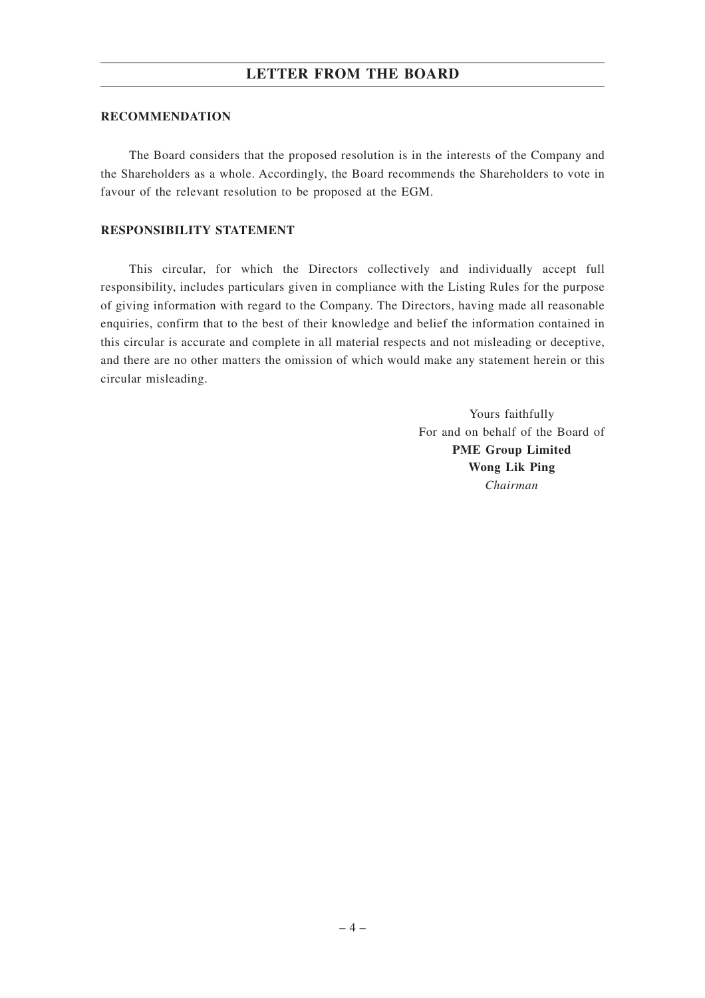### **LETTER FROM THE BOARD**

#### **RECOMMENDATION**

The Board considers that the proposed resolution is in the interests of the Company and the Shareholders as a whole. Accordingly, the Board recommends the Shareholders to vote in favour of the relevant resolution to be proposed at the EGM.

#### **RESPONSIBILITY STATEMENT**

This circular, for which the Directors collectively and individually accept full responsibility, includes particulars given in compliance with the Listing Rules for the purpose of giving information with regard to the Company. The Directors, having made all reasonable enquiries, confirm that to the best of their knowledge and belief the information contained in this circular is accurate and complete in all material respects and not misleading or deceptive, and there are no other matters the omission of which would make any statement herein or this circular misleading.

> Yours faithfully For and on behalf of the Board of **PME Group Limited Wong Lik Ping** *Chairman*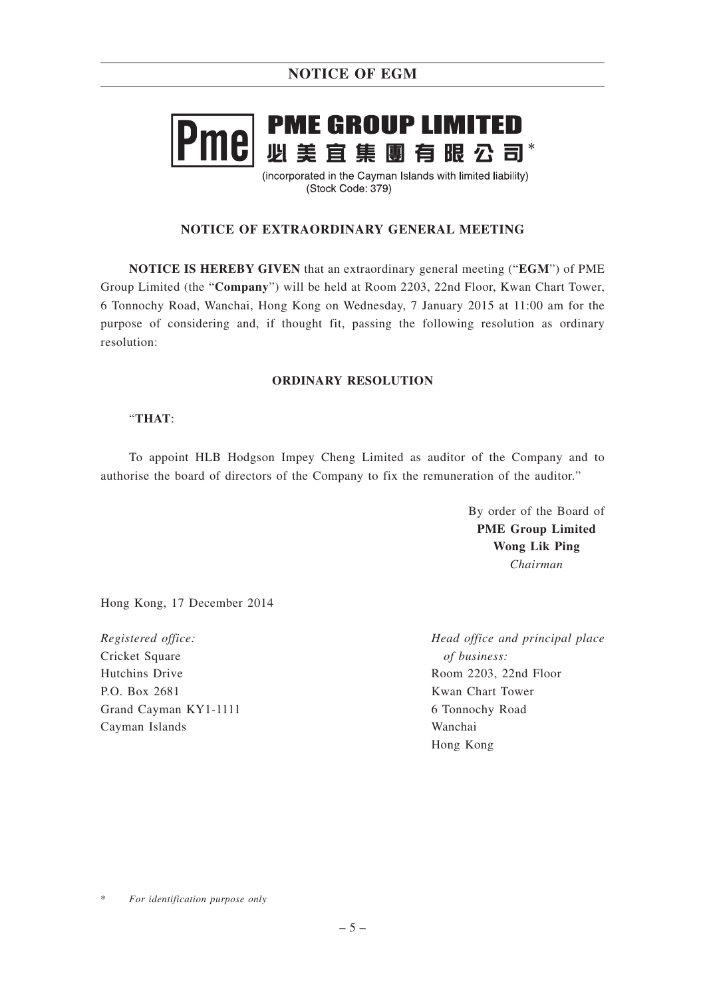# **PME GROUP LIMITED** nel - ---- ---- --- -- ----- ---<br>必 美 宜 集 團 有 眼 公 司\*

(incorporated in the Cayman Islands with limited liability) (Stock Code: 379)

### **NOTICE OF EXTRAORDINARY GENERAL MEETING**

**NOTICE IS HEREBY GIVEN** that an extraordinary general meeting ("**EGM**") of PME Group Limited (the "**Company**") will be held at Room 2203, 22nd Floor, Kwan Chart Tower, 6 Tonnochy Road, Wanchai, Hong Kong on Wednesday, 7 January 2015 at 11:00 am for the purpose of considering and, if thought fit, passing the following resolution as ordinary resolution:

### **ORDINARY RESOLUTION**

### "**THAT**:

To appoint HLB Hodgson Impey Cheng Limited as auditor of the Company and to authorise the board of directors of the Company to fix the remuneration of the auditor."

> By order of the Board of **PME Group Limited Wong Lik Ping** *Chairman*

Hong Kong, 17 December 2014

*Registered office:* Cricket Square Hutchins Drive P.O. Box 2681 Grand Cayman KY1-1111 Cayman Islands

*Head office and principal place of business:* Room 2203, 22nd Floor Kwan Chart Tower 6 Tonnochy Road Wanchai Hong Kong

 $For$  *identification purpose only*